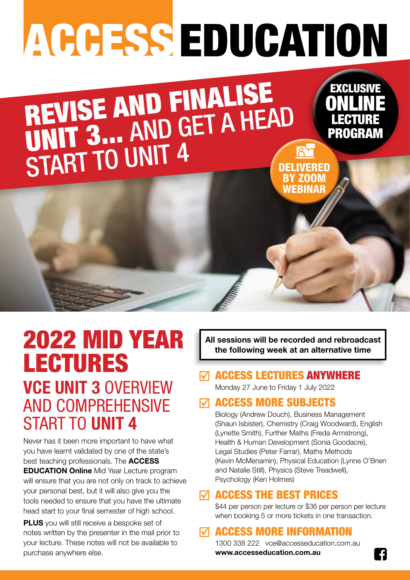# ACCESS EDUCATION

REVISE AND FINALISE REVISE AND GET A HEAD START TO UNIT 4 DELIVERED BY ZOOM

# 2022 MID YEAR LECTURES **VCE UNIT 3** OVERVIEW

AND COMPREHENSIVE START TO **UNIT 4**

Never has it been more important to have what you have learnt validated by one of the state's best teaching professionals. The **ACCESS EDUCATION Online** Mid Year Lecture program will ensure that you are not only on track to achieve your personal best, but it will also give you the tools needed to ensure that you have the ultimate head start to your final semester of high school.

**PLUS** you will still receive a bespoke set of notes written by the presenter in the mail prior to your lecture. These notes will not be available to purchase anywhere else.

**All sessions will be recorded and rebroadcast the following week at an alternative time**

**WEBINAR** 

FXALUSI

ONLINE

LECTURE

PROGRAM

#### $\nabla$  access lectures anywhere

Monday 27 June to Friday 1 July 2022

## $\nabla$  access more subjects

Biology (Andrew Douch), Business Management (Shaun Isbister), Chemistry (Craig Woodward), English (Lynette Smith), Further Maths (Freda Armstrong), Health & Human Development (Sonia Goodacre), Legal Studies (Peter Farrar), Maths Methods (Kevin McMenamin), Physical Education (Lynne O'Brien and Natalie Still), Physics (Steve Treadwell), Psychology (Ken Holmes)

#### $\nabla$  access the best prices

\$44 per person per lecture or \$36 per person per lecture when booking 5 or more tickets in one transaction.

## ACCESS MORE INFORMATION

1300 338 222 vce@accesseducation.com.au **www.accesseducation.com.au**